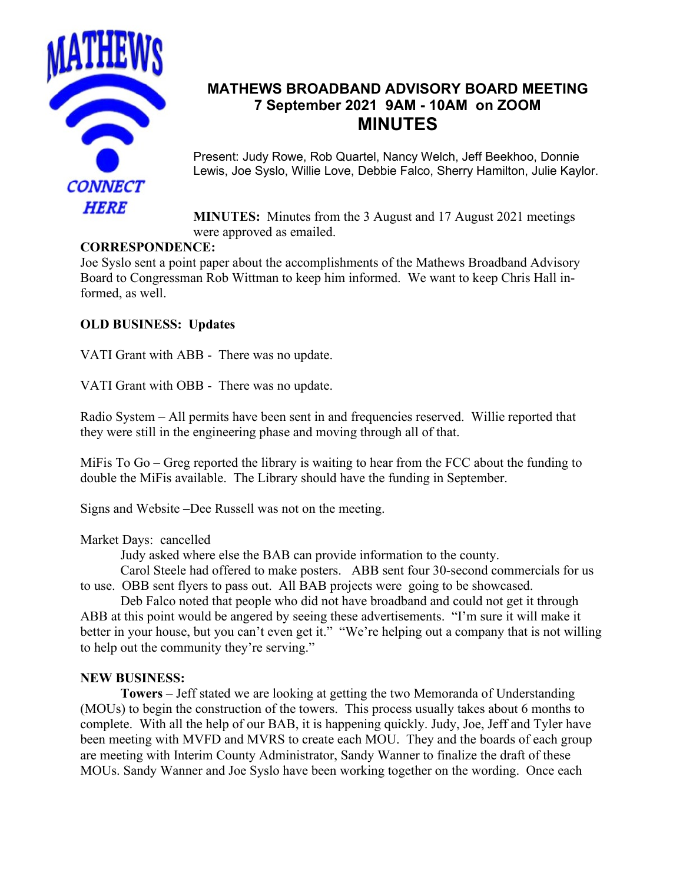

## **MATHEWS BROADBAND ADVISORY BOARD MEETING 7 September 2021 9AM - 10AM on ZOOM MINUTES**

Present: Judy Rowe, Rob Quartel, Nancy Welch, Jeff Beekhoo, Donnie Lewis, Joe Syslo, Willie Love, Debbie Falco, Sherry Hamilton, Julie Kaylor.

**MINUTES:** Minutes from the 3 August and 17 August 2021 meetings were approved as emailed.

## **CORRESPONDENCE:**

Joe Syslo sent a point paper about the accomplishments of the Mathews Broadband Advisory Board to Congressman Rob Wittman to keep him informed. We want to keep Chris Hall informed, as well.

## **OLD BUSINESS: Updates**

VATI Grant with ABB - There was no update.

VATI Grant with OBB - There was no update.

Radio System – All permits have been sent in and frequencies reserved. Willie reported that they were still in the engineering phase and moving through all of that.

MiFis To Go – Greg reported the library is waiting to hear from the FCC about the funding to double the MiFis available. The Library should have the funding in September.

Signs and Website –Dee Russell was not on the meeting.

Market Days: cancelled

Judy asked where else the BAB can provide information to the county.

Carol Steele had offered to make posters. ABB sent four 30-second commercials for us to use. OBB sent flyers to pass out. All BAB projects were going to be showcased.

Deb Falco noted that people who did not have broadband and could not get it through ABB at this point would be angered by seeing these advertisements. "I'm sure it will make it better in your house, but you can't even get it." "We're helping out a company that is not willing to help out the community they're serving."

## **NEW BUSINESS:**

**Towers** – Jeff stated we are looking at getting the two Memoranda of Understanding (MOUs) to begin the construction of the towers. This process usually takes about 6 months to complete. With all the help of our BAB, it is happening quickly. Judy, Joe, Jeff and Tyler have been meeting with MVFD and MVRS to create each MOU. They and the boards of each group are meeting with Interim County Administrator, Sandy Wanner to finalize the draft of these MOUs. Sandy Wanner and Joe Syslo have been working together on the wording. Once each